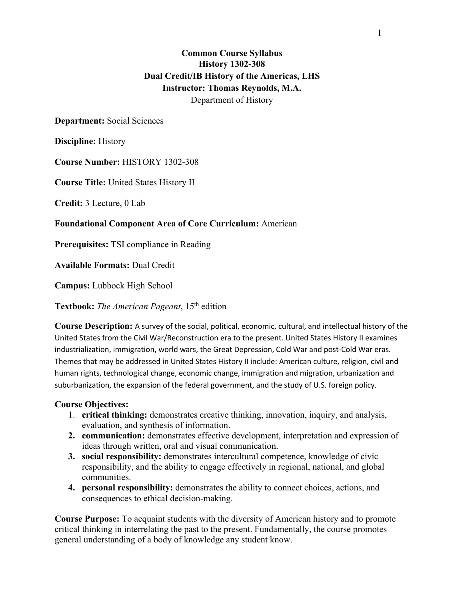# **Common Course Syllabus History 1302-308 Dual Credit/IB History of the Americas, LHS Instructor: Thomas Reynolds, M.A.** Department of History

## **Department:** Social Sciences

**Discipline:** History

**Course Number:** HISTORY 1302-308

**Course Title:** United States History II

**Credit:** 3 Lecture, 0 Lab

## **Foundational Component Area of Core Curriculum:** American

**Prerequisites:** TSI compliance in Reading

**Available Formats:** Dual Credit

**Campus:** Lubbock High School

**Textbook:** *The American Pageant*, 15th edition

**Course Description:** A survey of the social, political, economic, cultural, and intellectual history of the United States from the Civil War/Reconstruction era to the present. United States History II examines industrialization, immigration, world wars, the Great Depression, Cold War and post-Cold War eras. Themes that may be addressed in United States History II include: American culture, religion, civil and human rights, technological change, economic change, immigration and migration, urbanization and suburbanization, the expansion of the federal government, and the study of U.S. foreign policy.

#### **Course Objectives:**

- 1. **critical thinking:** demonstrates creative thinking, innovation, inquiry, and analysis, evaluation, and synthesis of information.
- **2. communication:** demonstrates effective development, interpretation and expression of ideas through written, oral and visual communication.
- **3. social responsibility:** demonstrates intercultural competence, knowledge of civic responsibility, and the ability to engage effectively in regional, national, and global communities.
- **4. personal responsibility:** demonstrates the ability to connect choices, actions, and consequences to ethical decision-making.

**Course Purpose:** To acquaint students with the diversity of American history and to promote critical thinking in interrelating the past to the present. Fundamentally, the course promotes general understanding of a body of knowledge any student know.